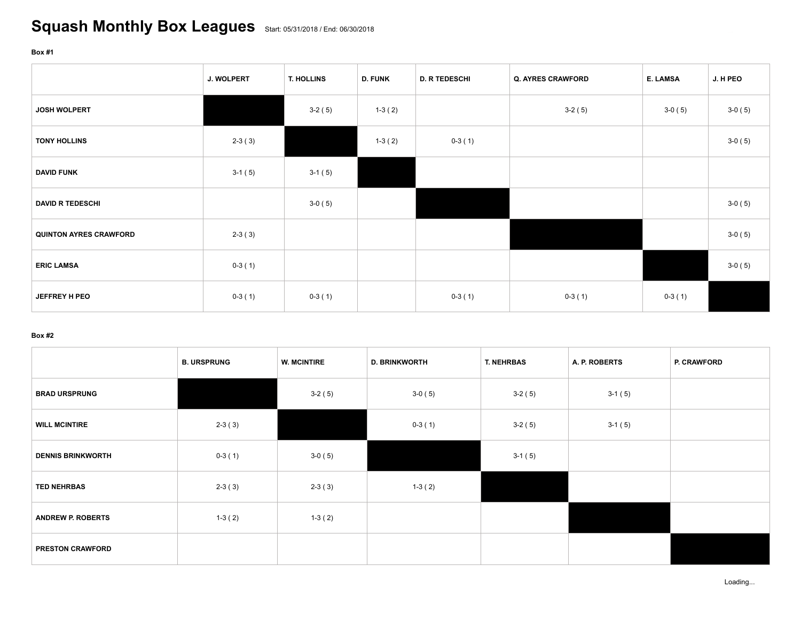## **Box #1**

|                               | <b>J. WOLPERT</b> | T. HOLLINS | <b>D. FUNK</b> | <b>D. R TEDESCHI</b> | <b>Q. AYRES CRAWFORD</b> | E. LAMSA | J. H PEO |
|-------------------------------|-------------------|------------|----------------|----------------------|--------------------------|----------|----------|
| <b>JOSH WOLPERT</b>           |                   | $3-2(5)$   | $1-3(2)$       |                      | $3-2(5)$                 | $3-0(5)$ | $3-0(5)$ |
| <b>TONY HOLLINS</b>           | $2-3(3)$          |            | $1-3(2)$       | $0-3(1)$             |                          |          | $3-0(5)$ |
| <b>DAVID FUNK</b>             | $3-1(5)$          | $3-1(5)$   |                |                      |                          |          |          |
| <b>DAVID R TEDESCHI</b>       |                   | $3-0(5)$   |                |                      |                          |          | $3-0(5)$ |
| <b>QUINTON AYRES CRAWFORD</b> | $2-3(3)$          |            |                |                      |                          |          | $3-0(5)$ |
| <b>ERIC LAMSA</b>             | $0-3(1)$          |            |                |                      |                          |          | $3-0(5)$ |
| JEFFREY H PEO                 | $0-3(1)$          | $0-3(1)$   |                | $0-3(1)$             | $0-3(1)$                 | $0-3(1)$ |          |

## **Box #2**

|                          | <b>B. URSPRUNG</b> | <b>W. MCINTIRE</b> | <b>D. BRINKWORTH</b> | T. NEHRBAS | A. P. ROBERTS | <b>P. CRAWFORD</b> |
|--------------------------|--------------------|--------------------|----------------------|------------|---------------|--------------------|
| <b>BRAD URSPRUNG</b>     |                    | $3-2(5)$           | $3-0(5)$             | $3-2(5)$   | $3-1(5)$      |                    |
| <b>WILL MCINTIRE</b>     | $2-3(3)$           |                    | $0-3(1)$             | $3-2(5)$   | $3-1(5)$      |                    |
| <b>DENNIS BRINKWORTH</b> | $0-3(1)$           | $3-0(5)$           |                      | $3-1(5)$   |               |                    |
| <b>TED NEHRBAS</b>       | $2-3(3)$           | $2-3(3)$           | $1-3(2)$             |            |               |                    |
| <b>ANDREW P. ROBERTS</b> | $1-3(2)$           | $1-3(2)$           |                      |            |               |                    |
| <b>PRESTON CRAWFORD</b>  |                    |                    |                      |            |               |                    |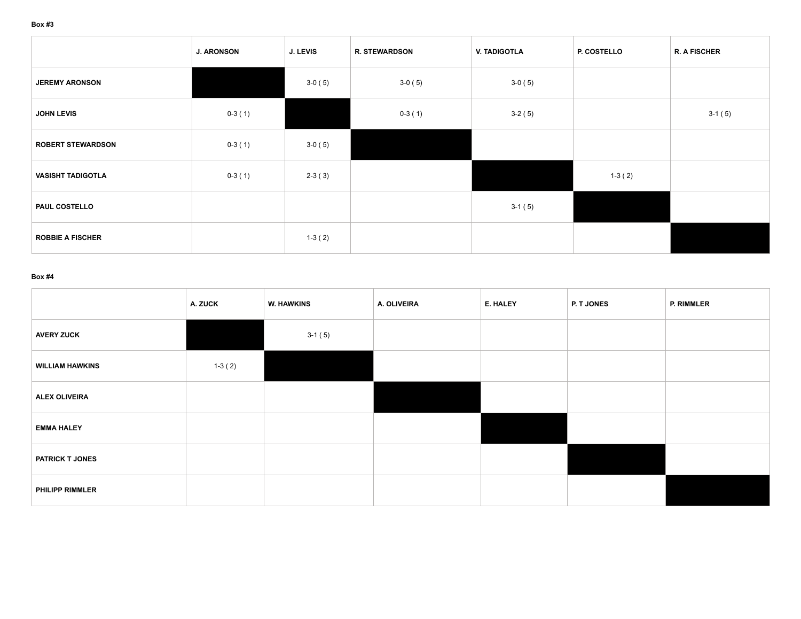|                          | <b>J. ARONSON</b> | J. LEVIS | <b>R. STEWARDSON</b> | V. TADIGOTLA | <b>P. COSTELLO</b> | <b>R. A FISCHER</b> |
|--------------------------|-------------------|----------|----------------------|--------------|--------------------|---------------------|
| <b>JEREMY ARONSON</b>    |                   | $3-0(5)$ | $3-0(5)$             | $3-0(5)$     |                    |                     |
| <b>JOHN LEVIS</b>        | $0-3(1)$          |          | $0-3(1)$             | $3-2(5)$     |                    | $3-1(5)$            |
| <b>ROBERT STEWARDSON</b> | $0-3(1)$          | $3-0(5)$ |                      |              |                    |                     |
| <b>VASISHT TADIGOTLA</b> | $0-3(1)$          | $2-3(3)$ |                      |              | $1-3(2)$           |                     |
| <b>PAUL COSTELLO</b>     |                   |          |                      | $3-1(5)$     |                    |                     |
| <b>ROBBIE A FISCHER</b>  |                   | $1-3(2)$ |                      |              |                    |                     |

## **Box #4**

|                        | A. ZUCK  | <b>W. HAWKINS</b> | A. OLIVEIRA | E. HALEY | P. T JONES | P. RIMMLER |
|------------------------|----------|-------------------|-------------|----------|------------|------------|
| <b>AVERY ZUCK</b>      |          | $3-1(5)$          |             |          |            |            |
| <b>WILLIAM HAWKINS</b> | $1-3(2)$ |                   |             |          |            |            |
| <b>ALEX OLIVEIRA</b>   |          |                   |             |          |            |            |
| <b>EMMA HALEY</b>      |          |                   |             |          |            |            |
| <b>PATRICK T JONES</b> |          |                   |             |          |            |            |
| <b>PHILIPP RIMMLER</b> |          |                   |             |          |            |            |